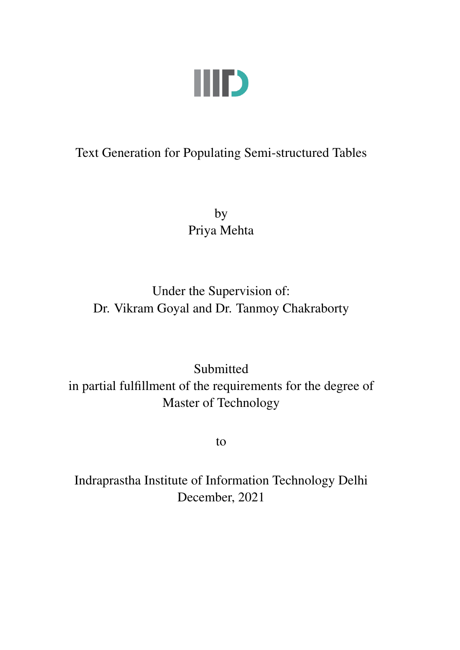

## <span id="page-0-0"></span>Text Generation for Populating Semi-structured Tables

by Priya Mehta

Under the Supervision of: Dr. Vikram Goyal and Dr. Tanmoy Chakraborty

Submitted in partial fulfillment of the requirements for the degree of Master of Technology

to

Indraprastha Institute of Information Technology Delhi December, 2021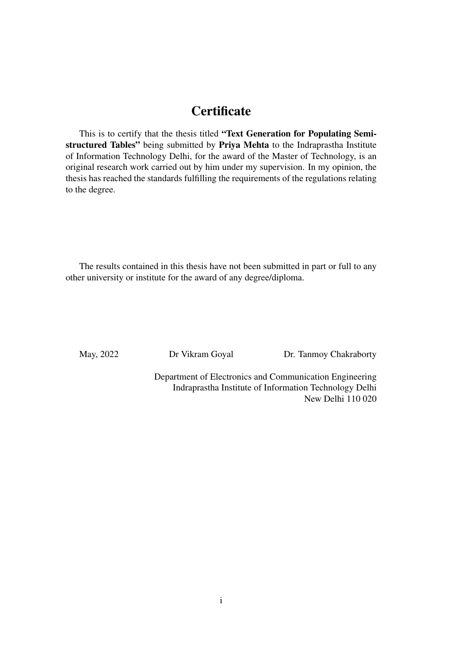### **Certificate**

This is to certify that the thesis titled "Text Generation for Populating Semistructured Tables" being submitted by Priya Mehta to the Indraprastha Institute of Information Technology Delhi, for the award of the Master of Technology, is an original research work carried out by him under my supervision. In my opinion, the thesis has reached the standards fulfilling the requirements of the regulations relating to the degree.

The results contained in this thesis have not been submitted in part or full to any other university or institute for the award of any degree/diploma.

May, 2022 Dr Vikram Goyal Dr. Tanmoy Chakraborty

Department of Electronics and Communication Engineering Indraprastha Institute of Information Technology Delhi New Delhi 110 020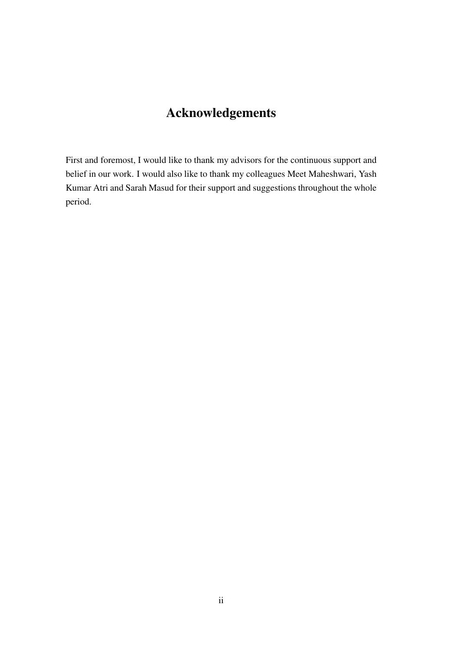## Acknowledgements

First and foremost, I would like to thank my advisors for the continuous support and belief in our work. I would also like to thank my colleagues Meet Maheshwari, Yash Kumar Atri and Sarah Masud for their support and suggestions throughout the whole period.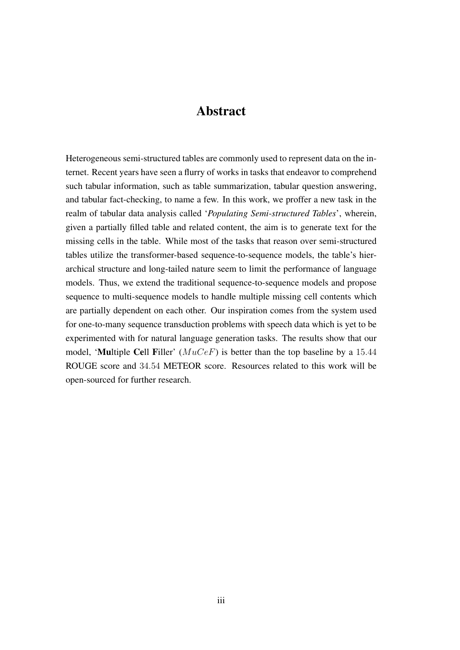#### Abstract

Heterogeneous semi-structured tables are commonly used to represent data on the internet. Recent years have seen a flurry of works in tasks that endeavor to comprehend such tabular information, such as table summarization, tabular question answering, and tabular fact-checking, to name a few. In this work, we proffer a new task in the realm of tabular data analysis called '*Populating Semi-structured Tables*', wherein, given a partially filled table and related content, the aim is to generate text for the missing cells in the table. While most of the tasks that reason over semi-structured tables utilize the transformer-based sequence-to-sequence models, the table's hierarchical structure and long-tailed nature seem to limit the performance of language models. Thus, we extend the traditional sequence-to-sequence models and propose sequence to multi-sequence models to handle multiple missing cell contents which are partially dependent on each other. Our inspiration comes from the system used for one-to-many sequence transduction problems with speech data which is yet to be experimented with for natural language generation tasks. The results show that our model, 'Multiple Cell Filler'  $(MuCeF)$  is better than the top baseline by a 15.44 ROUGE score and 34.54 METEOR score. Resources related to this work will be open-sourced for further research.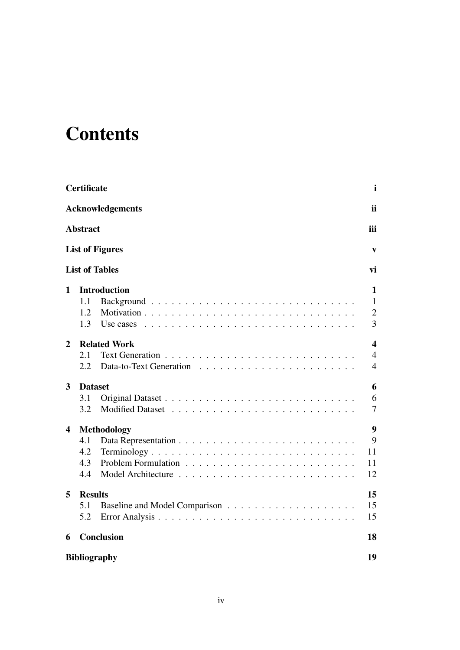## **Contents**

|                | <b>Certificate</b>                                            | $\mathbf i$                                                 |
|----------------|---------------------------------------------------------------|-------------------------------------------------------------|
|                | <b>Acknowledgements</b>                                       | <i>ii</i>                                                   |
|                | <b>Abstract</b>                                               | iii                                                         |
|                | <b>List of Figures</b>                                        | V                                                           |
|                | <b>List of Tables</b>                                         | vi                                                          |
| $\mathbf 1$    | <b>Introduction</b><br>1.1<br>1.2<br>1.3                      | $\mathbf{1}$<br>$\mathbf{1}$<br>$\mathfrak{2}$<br>3         |
| $\overline{2}$ | <b>Related Work</b><br>2.1<br>2.2                             | $\overline{\mathbf{4}}$<br>$\overline{4}$<br>$\overline{4}$ |
| 3              | <b>Dataset</b><br>3.1<br>3.2                                  | 6<br>6<br>$\overline{7}$                                    |
| 4              | <b>Methodology</b><br>4.1<br>4.2<br>Terminology<br>4.3<br>4.4 | 9<br>9<br>11<br>11<br>12                                    |
| 5              | <b>Results</b><br>5.1<br>5.2                                  | 15<br>15<br>15                                              |
| 6              | Conclusion                                                    | 18                                                          |
|                | <b>Bibliography</b>                                           | 19                                                          |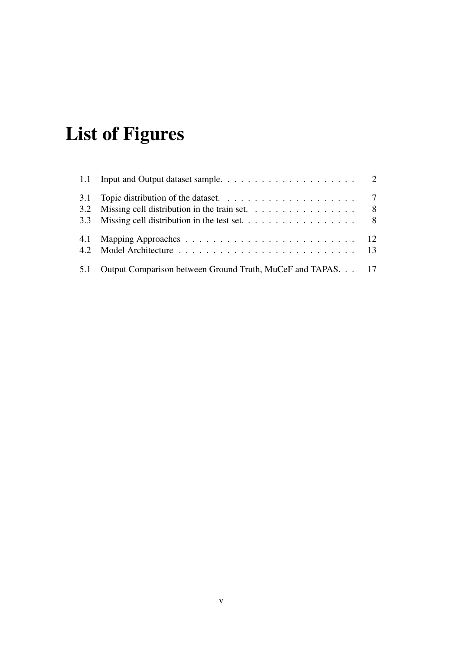# <span id="page-5-0"></span>List of Figures

| 3.2 | Missing cell distribution in the train set. $\dots \dots \dots \dots \dots \dots$ |  |
|-----|-----------------------------------------------------------------------------------|--|
|     | 3.3 Missing cell distribution in the test set. 8                                  |  |
|     |                                                                                   |  |
|     |                                                                                   |  |
| 5.1 | Output Comparison between Ground Truth, MuCeF and TAPAS. 17                       |  |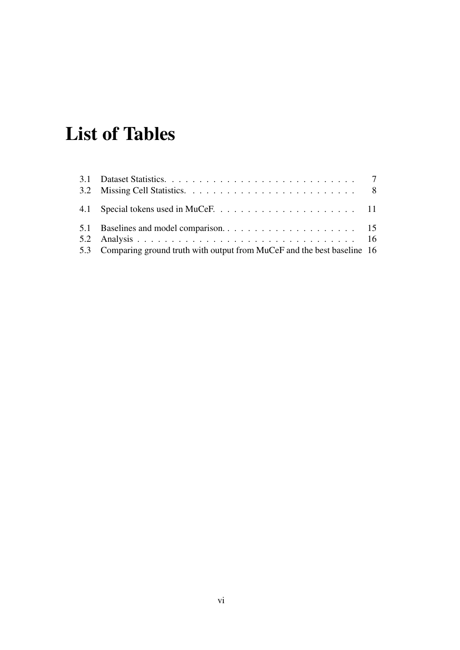## List of Tables

| 5.3 Comparing ground truth with output from MuCeF and the best baseline 16 |  |
|----------------------------------------------------------------------------|--|
|                                                                            |  |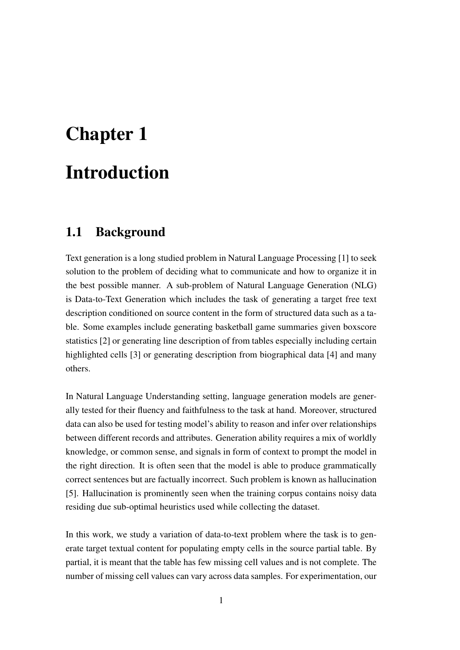# <span id="page-7-0"></span>Chapter 1 Introduction

### <span id="page-7-1"></span>1.1 Background

Text generation is a long studied problem in Natural Language Processing [\[1\]](#page-25-1) to seek solution to the problem of deciding what to communicate and how to organize it in the best possible manner. A sub-problem of Natural Language Generation (NLG) is Data-to-Text Generation which includes the task of generating a target free text description conditioned on source content in the form of structured data such as a table. Some examples include generating basketball game summaries given boxscore statistics [\[2\]](#page-25-2) or generating line description of from tables especially including certain highlighted cells [\[3\]](#page-25-3) or generating description from biographical data [\[4\]](#page-25-4) and many others.

In Natural Language Understanding setting, language generation models are generally tested for their fluency and faithfulness to the task at hand. Moreover, structured data can also be used for testing model's ability to reason and infer over relationships between different records and attributes. Generation ability requires a mix of worldly knowledge, or common sense, and signals in form of context to prompt the model in the right direction. It is often seen that the model is able to produce grammatically correct sentences but are factually incorrect. Such problem is known as hallucination [\[5\]](#page-25-5). Hallucination is prominently seen when the training corpus contains noisy data residing due sub-optimal heuristics used while collecting the dataset.

In this work, we study a variation of data-to-text problem where the task is to generate target textual content for populating empty cells in the source partial table. By partial, it is meant that the table has few missing cell values and is not complete. The number of missing cell values can vary across data samples. For experimentation, our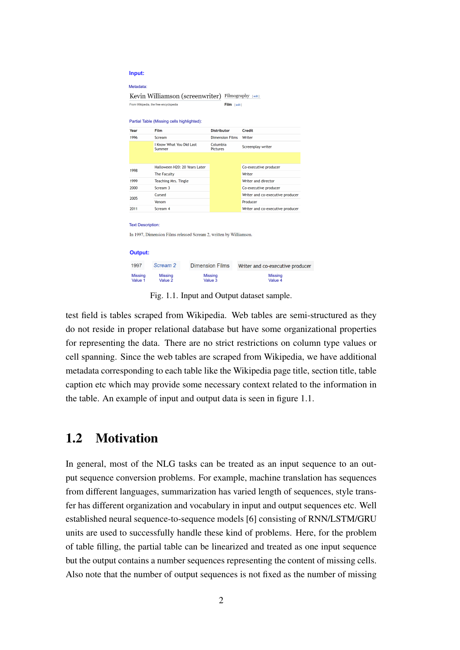<span id="page-8-1"></span>

|      | From Wikipedia, the free encyclopedia      |  | Film [edit]                 |                                  |
|------|--------------------------------------------|--|-----------------------------|----------------------------------|
|      | Partial Table (Missing cells highlighted): |  |                             |                                  |
| Year | Film                                       |  | <b>Distributor</b>          | <b>Credit</b>                    |
| 1996 | Scream                                     |  | <b>Dimension Films</b>      | Writer                           |
|      | I Know What You Did Last<br>Summer         |  | Columbia<br><b>Pictures</b> | Screenplay writer                |
|      |                                            |  |                             |                                  |
|      | Halloween H20: 20 Years Later              |  |                             | Co-executive producer            |
| 1998 | The Faculty                                |  |                             | Writer                           |
| 1999 | Teaching Mrs. Tingle                       |  |                             | Writer and director              |
| 2000 | Scream 3                                   |  |                             | Co-executive producer            |
| 2005 | Cursed                                     |  |                             | Writer and co-executive producer |
|      | Venom                                      |  |                             | Producer                         |
| 2011 | Scream 4                                   |  |                             | Writer and co-executive producer |

Fig. 1.1. Input and Output dataset sample.

test field is tables scraped from Wikipedia. Web tables are semi-structured as they do not reside in proper relational database but have some organizational properties for representing the data. There are no strict restrictions on column type values or cell spanning. Since the web tables are scraped from Wikipedia, we have additional metadata corresponding to each table like the Wikipedia page title, section title, table caption etc which may provide some necessary context related to the information in the table. An example of input and output data is seen in figure [1.1.](#page-8-1)

### <span id="page-8-0"></span>1.2 Motivation

In general, most of the NLG tasks can be treated as an input sequence to an output sequence conversion problems. For example, machine translation has sequences from different languages, summarization has varied length of sequences, style transfer has different organization and vocabulary in input and output sequences etc. Well established neural sequence-to-sequence models [\[6\]](#page-25-6) consisting of RNN/LSTM/GRU units are used to successfully handle these kind of problems. Here, for the problem of table filling, the partial table can be linearized and treated as one input sequence but the output contains a number sequences representing the content of missing cells. Also note that the number of output sequences is not fixed as the number of missing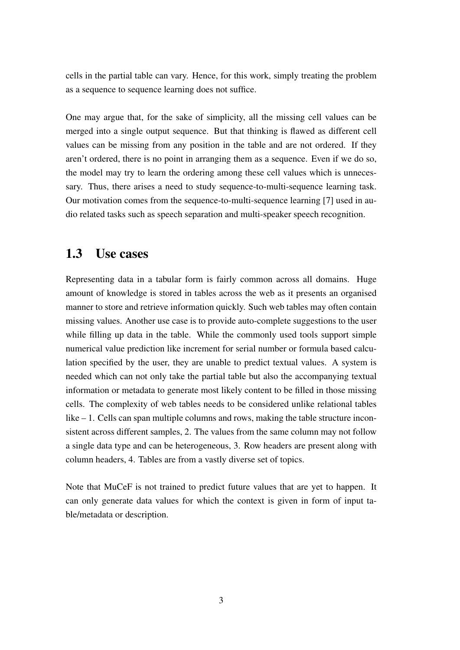cells in the partial table can vary. Hence, for this work, simply treating the problem as a sequence to sequence learning does not suffice.

One may argue that, for the sake of simplicity, all the missing cell values can be merged into a single output sequence. But that thinking is flawed as different cell values can be missing from any position in the table and are not ordered. If they aren't ordered, there is no point in arranging them as a sequence. Even if we do so, the model may try to learn the ordering among these cell values which is unnecessary. Thus, there arises a need to study sequence-to-multi-sequence learning task. Our motivation comes from the sequence-to-multi-sequence learning [\[7\]](#page-25-7) used in audio related tasks such as speech separation and multi-speaker speech recognition.

#### <span id="page-9-0"></span>1.3 Use cases

Representing data in a tabular form is fairly common across all domains. Huge amount of knowledge is stored in tables across the web as it presents an organised manner to store and retrieve information quickly. Such web tables may often contain missing values. Another use case is to provide auto-complete suggestions to the user while filling up data in the table. While the commonly used tools support simple numerical value prediction like increment for serial number or formula based calculation specified by the user, they are unable to predict textual values. A system is needed which can not only take the partial table but also the accompanying textual information or metadata to generate most likely content to be filled in those missing cells. The complexity of web tables needs to be considered unlike relational tables like – 1. Cells can span multiple columns and rows, making the table structure inconsistent across different samples, 2. The values from the same column may not follow a single data type and can be heterogeneous, 3. Row headers are present along with column headers, 4. Tables are from a vastly diverse set of topics.

Note that MuCeF is not trained to predict future values that are yet to happen. It can only generate data values for which the context is given in form of input table/metadata or description.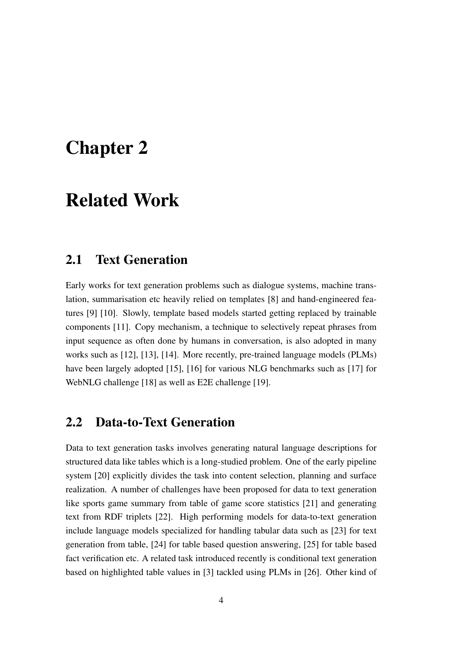## <span id="page-10-0"></span>Chapter 2

## Related Work

#### <span id="page-10-1"></span>2.1 Text Generation

Early works for text generation problems such as dialogue systems, machine translation, summarisation etc heavily relied on templates [\[8\]](#page-25-8) and hand-engineered features [\[9\]](#page-25-9) [\[10\]](#page-26-0). Slowly, template based models started getting replaced by trainable components [\[11\]](#page-26-1). Copy mechanism, a technique to selectively repeat phrases from input sequence as often done by humans in conversation, is also adopted in many works such as [\[12\]](#page-26-2), [\[13\]](#page-26-3), [\[14\]](#page-26-4). More recently, pre-trained language models (PLMs) have been largely adopted [\[15\]](#page-26-5), [\[16\]](#page-26-6) for various NLG benchmarks such as [\[17\]](#page-26-7) for WebNLG challenge [\[18\]](#page-26-8) as well as E2E challenge [\[19\]](#page-27-0).

#### <span id="page-10-2"></span>2.2 Data-to-Text Generation

Data to text generation tasks involves generating natural language descriptions for structured data like tables which is a long-studied problem. One of the early pipeline system [\[20\]](#page-27-1) explicitly divides the task into content selection, planning and surface realization. A number of challenges have been proposed for data to text generation like sports game summary from table of game score statistics [\[21\]](#page-27-2) and generating text from RDF triplets [\[22\]](#page-27-3). High performing models for data-to-text generation include language models specialized for handling tabular data such as [\[23\]](#page-27-4) for text generation from table, [\[24\]](#page-27-5) for table based question answering, [\[25\]](#page-27-6) for table based fact verification etc. A related task introduced recently is conditional text generation based on highlighted table values in [\[3\]](#page-25-3) tackled using PLMs in [\[26\]](#page-27-7). Other kind of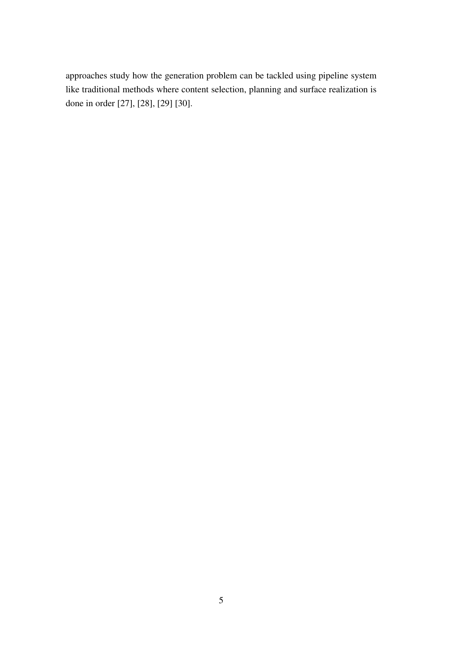approaches study how the generation problem can be tackled using pipeline system like traditional methods where content selection, planning and surface realization is done in order [\[27\]](#page-27-8), [\[28\]](#page-28-0), [\[29\]](#page-28-1) [\[30\]](#page-28-2).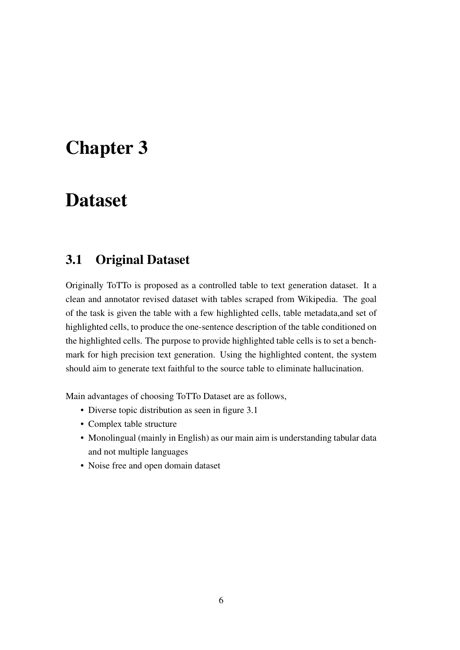## <span id="page-12-0"></span>Chapter 3

## Dataset

### <span id="page-12-1"></span>3.1 Original Dataset

Originally ToTTo is proposed as a controlled table to text generation dataset. It a clean and annotator revised dataset with tables scraped from Wikipedia. The goal of the task is given the table with a few highlighted cells, table metadata,and set of highlighted cells, to produce the one-sentence description of the table conditioned on the highlighted cells. The purpose to provide highlighted table cells is to set a benchmark for high precision text generation. Using the highlighted content, the system should aim to generate text faithful to the source table to eliminate hallucination.

Main advantages of choosing ToTTo Dataset are as follows,

- Diverse topic distribution as seen in figure [3.1](#page-13-1)
- Complex table structure
- Monolingual (mainly in English) as our main aim is understanding tabular data and not multiple languages
- Noise free and open domain dataset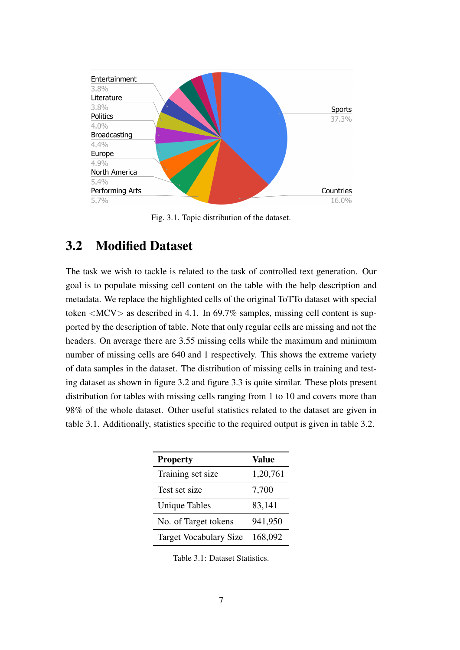<span id="page-13-1"></span>

Fig. 3.1. Topic distribution of the dataset.

### <span id="page-13-0"></span>3.2 Modified Dataset

The task we wish to tackle is related to the task of controlled text generation. Our goal is to populate missing cell content on the table with the help description and metadata. We replace the highlighted cells of the original ToTTo dataset with special token  $\langle MCV \rangle$  as described in [4.1.](#page-17-2) In 69.7% samples, missing cell content is supported by the description of table. Note that only regular cells are missing and not the headers. On average there are 3.55 missing cells while the maximum and minimum number of missing cells are 640 and 1 respectively. This shows the extreme variety of data samples in the dataset. The distribution of missing cells in training and testing dataset as shown in figure [3.2](#page-14-0) and figure [3.3](#page-14-1) is quite similar. These plots present distribution for tables with missing cells ranging from 1 to 10 and covers more than 98% of the whole dataset. Other useful statistics related to the dataset are given in table [3.1.](#page-13-2) Additionally, statistics specific to the required output is given in table [3.2.](#page-14-2)

<span id="page-13-2"></span>

| <b>Property</b>               | Value    |
|-------------------------------|----------|
| Training set size             | 1,20,761 |
| Test set size                 | 7,700    |
| <b>Unique Tables</b>          | 83,141   |
| No. of Target tokens          | 941,950  |
| <b>Target Vocabulary Size</b> | 168,092  |

Table 3.1: Dataset Statistics.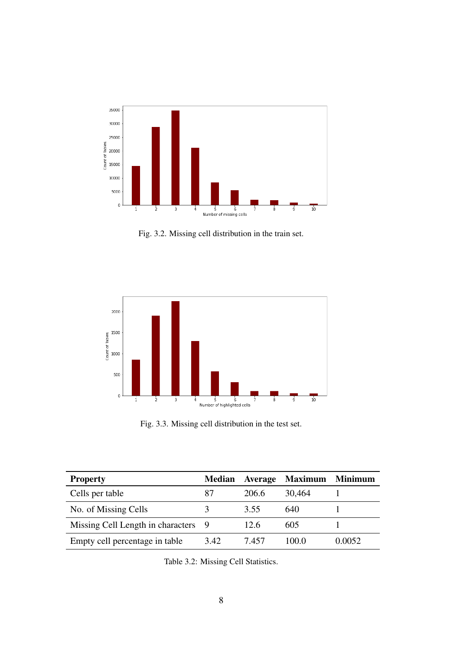<span id="page-14-0"></span>

Fig. 3.2. Missing cell distribution in the train set.

<span id="page-14-1"></span>

Fig. 3.3. Missing cell distribution in the test set.

<span id="page-14-2"></span>

| <b>Property</b>                   | <b>Median</b> | <b>Average</b> | <b>Maximum</b> | <b>Minimum</b> |
|-----------------------------------|---------------|----------------|----------------|----------------|
| Cells per table                   | 87            | 206.6          | 30,464         |                |
| No. of Missing Cells              |               | 3.55           | 640            |                |
| Missing Cell Length in characters | - 9           | 12.6           | 605            |                |
| Empty cell percentage in table    | 3.42          | 7.457          | 100.0          | 0.0052         |

Table 3.2: Missing Cell Statistics.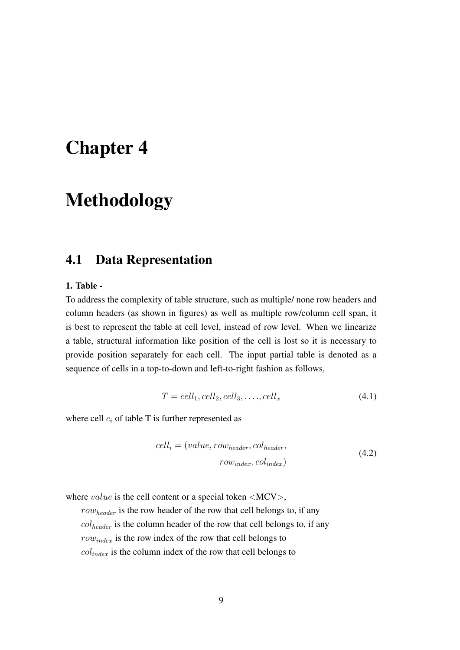## <span id="page-15-0"></span>Chapter 4

## Methodology

#### <span id="page-15-1"></span>4.1 Data Representation

#### 1. Table -

To address the complexity of table structure, such as multiple/ none row headers and column headers (as shown in figures) as well as multiple row/column cell span, it is best to represent the table at cell level, instead of row level. When we linearize a table, structural information like position of the cell is lost so it is necessary to provide position separately for each cell. The input partial table is denoted as a sequence of cells in a top-to-down and left-to-right fashion as follows,

$$
T = cell_1, cell_2, cell_3, \dots, cell_x \tag{4.1}
$$

where cell  $c_i$  of table T is further represented as

$$
cell_i = (value, row_{header}, col_{header}, row_{index}, col_{index})
$$
\n(4.2)

where *value* is the cell content or a special token  $\langle \text{MCV} \rangle$ ,

 $row_{header}$  is the row header of the row that cell belongs to, if any  $col_{header}$  is the column header of the row that cell belongs to, if any  $row_{index}$  is the row index of the row that cell belongs to  $col_{index}$  is the column index of the row that cell belongs to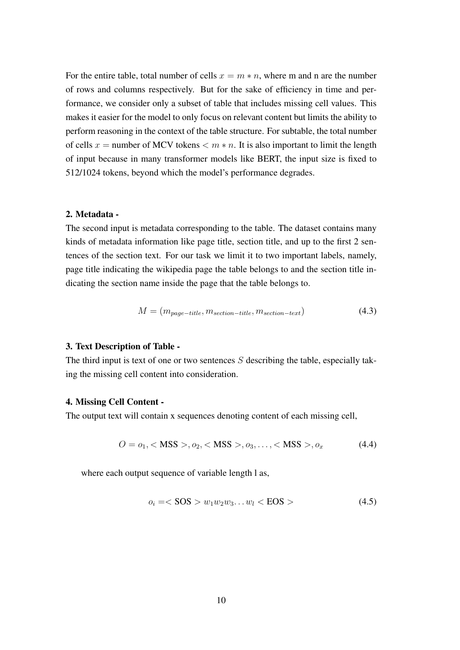For the entire table, total number of cells  $x = m * n$ , where m and n are the number of rows and columns respectively. But for the sake of efficiency in time and performance, we consider only a subset of table that includes missing cell values. This makes it easier for the model to only focus on relevant content but limits the ability to perform reasoning in the context of the table structure. For subtable, the total number of cells  $x =$  number of MCV tokens  $\lt m * n$ . It is also important to limit the length of input because in many transformer models like BERT, the input size is fixed to 512/1024 tokens, beyond which the model's performance degrades.

#### 2. Metadata -

The second input is metadata corresponding to the table. The dataset contains many kinds of metadata information like page title, section title, and up to the first 2 sentences of the section text. For our task we limit it to two important labels, namely, page title indicating the wikipedia page the table belongs to and the section title indicating the section name inside the page that the table belongs to.

$$
M = (m_{page - title}, m_{section - title}, m_{section - text})
$$
\n(4.3)

#### 3. Text Description of Table -

The third input is text of one or two sentences  $S$  describing the table, especially taking the missing cell content into consideration.

#### 4. Missing Cell Content -

The output text will contain x sequences denoting content of each missing cell,

$$
O = o_1, < MSS >, o_2, < MSS >, o_3, \dots, < MSS >, o_x \tag{4.4}
$$

where each output sequence of variable length l as,

$$
o_i = <\text{SOS} > w_1 w_2 w_3 \dots w_l < \text{EOS} > \tag{4.5}
$$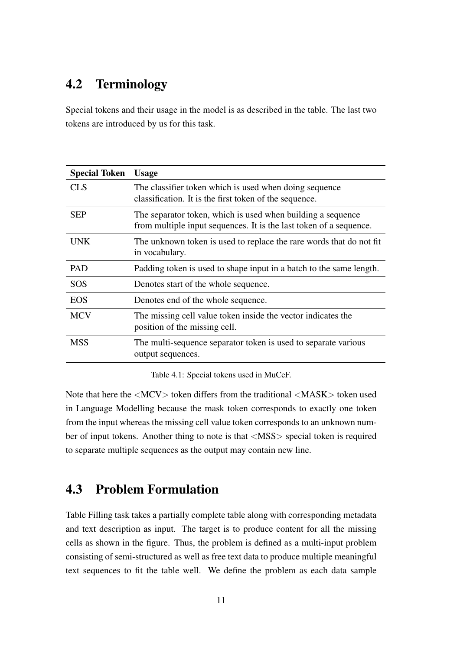## <span id="page-17-0"></span>4.2 Terminology

Special tokens and their usage in the model is as described in the table. The last two tokens are introduced by us for this task.

<span id="page-17-2"></span>

| <b>Special Token</b> | <b>Usage</b>                                                                                                                      |
|----------------------|-----------------------------------------------------------------------------------------------------------------------------------|
| <b>CLS</b>           | The classifier token which is used when doing sequence<br>classification. It is the first token of the sequence.                  |
| <b>SEP</b>           | The separator token, which is used when building a sequence<br>from multiple input sequences. It is the last token of a sequence. |
| <b>UNK</b>           | The unknown token is used to replace the rare words that do not fit<br>in vocabulary.                                             |
| <b>PAD</b>           | Padding token is used to shape input in a batch to the same length.                                                               |
| <b>SOS</b>           | Denotes start of the whole sequence.                                                                                              |
| <b>EOS</b>           | Denotes end of the whole sequence.                                                                                                |
| <b>MCV</b>           | The missing cell value token inside the vector indicates the<br>position of the missing cell.                                     |
| <b>MSS</b>           | The multi-sequence separator token is used to separate various<br>output sequences.                                               |

Table 4.1: Special tokens used in MuCeF.

Note that here the <MCV> token differs from the traditional <MASK> token used in Language Modelling because the mask token corresponds to exactly one token from the input whereas the missing cell value token corresponds to an unknown number of input tokens. Another thing to note is that <MSS> special token is required to separate multiple sequences as the output may contain new line.

### <span id="page-17-1"></span>4.3 Problem Formulation

Table Filling task takes a partially complete table along with corresponding metadata and text description as input. The target is to produce content for all the missing cells as shown in the figure. Thus, the problem is defined as a multi-input problem consisting of semi-structured as well as free text data to produce multiple meaningful text sequences to fit the table well. We define the problem as each data sample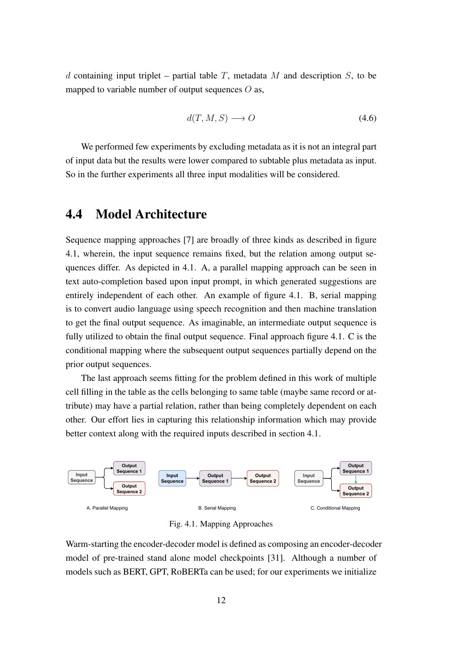d containing input triplet – partial table T, metadata M and description S, to be mapped to variable number of output sequences  $O$  as,

$$
d(T, M, S) \longrightarrow O \tag{4.6}
$$

We performed few experiments by excluding metadata as it is not an integral part of input data but the results were lower compared to subtable plus metadata as input. So in the further experiments all three input modalities will be considered.

### <span id="page-18-0"></span>4.4 Model Architecture

Sequence mapping approaches [\[7\]](#page-25-7) are broadly of three kinds as described in figure [4.1,](#page-18-1) wherein, the input sequence remains fixed, but the relation among output sequences differ. As depicted in [4.1.](#page-18-1) A, a parallel mapping approach can be seen in text auto-completion based upon input prompt, in which generated suggestions are entirely independent of each other. An example of figure [4.1.](#page-18-1) B, serial mapping is to convert audio language using speech recognition and then machine translation to get the final output sequence. As imaginable, an intermediate output sequence is fully utilized to obtain the final output sequence. Final approach figure [4.1.](#page-18-1) C is the conditional mapping where the subsequent output sequences partially depend on the prior output sequences.

The last approach seems fitting for the problem defined in this work of multiple cell filling in the table as the cells belonging to same table (maybe same record or attribute) may have a partial relation, rather than being completely dependent on each other. Our effort lies in capturing this relationship information which may provide better context along with the required inputs described in section [4.1.](#page-15-1)

<span id="page-18-1"></span>

Fig. 4.1. Mapping Approaches

Warm-starting the encoder-decoder model is defined as composing an encoder-decoder model of pre-trained stand alone model checkpoints [\[31\]](#page-28-3). Although a number of models such as BERT, GPT, RoBERTa can be used; for our experiments we initialize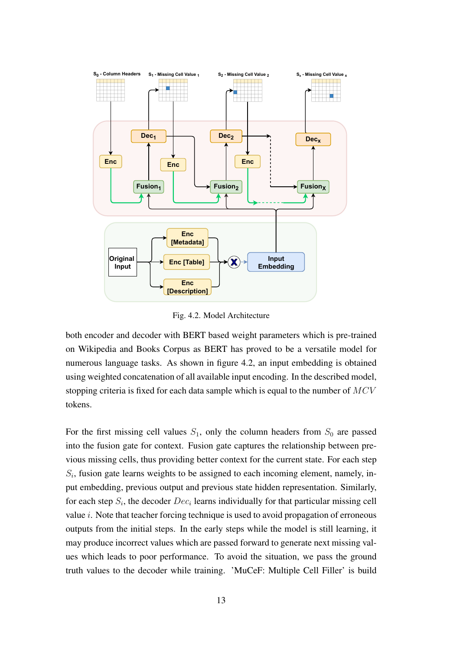<span id="page-19-0"></span>

Fig. 4.2. Model Architecture

both encoder and decoder with BERT based weight parameters which is pre-trained on Wikipedia and Books Corpus as BERT has proved to be a versatile model for numerous language tasks. As shown in figure [4.2,](#page-19-0) an input embedding is obtained using weighted concatenation of all available input encoding. In the described model, stopping criteria is fixed for each data sample which is equal to the number of  $MCV$ tokens.

For the first missing cell values  $S_1$ , only the column headers from  $S_0$  are passed into the fusion gate for context. Fusion gate captures the relationship between previous missing cells, thus providing better context for the current state. For each step  $S_i$ , fusion gate learns weights to be assigned to each incoming element, namely, input embedding, previous output and previous state hidden representation. Similarly, for each step  $S_i$ , the decoder  $Dec_i$  learns individually for that particular missing cell value  $i$ . Note that teacher forcing technique is used to avoid propagation of erroneous outputs from the initial steps. In the early steps while the model is still learning, it may produce incorrect values which are passed forward to generate next missing values which leads to poor performance. To avoid the situation, we pass the ground truth values to the decoder while training. 'MuCeF: Multiple Cell Filler' is build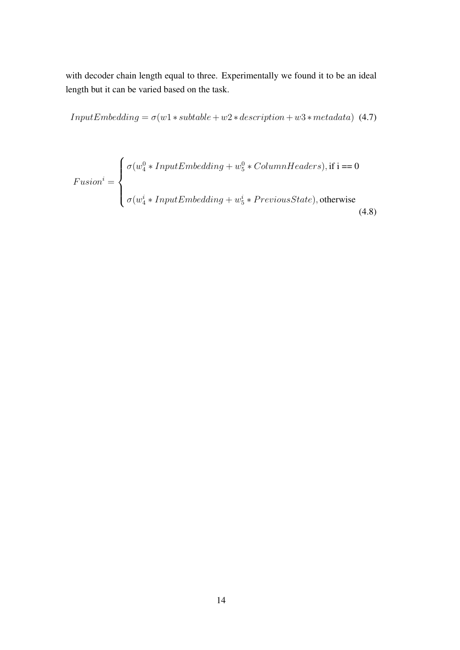with decoder chain length equal to three. Experimentally we found it to be an ideal length but it can be varied based on the task.

 $InputEmbedding = \sigma(w1 * subtable + w2 * description + w3 * metadata)$  (4.7)

$$
Fusion^{i} = \begin{cases} \sigma(w_4^0 * InputEmbedding + w_5^0 * ColumnHeaders), \text{if } i == 0\\ \sigma(w_4^i * InputEmbedding + w_5^i * PreviousState), \text{otherwise} \end{cases} (4.8)
$$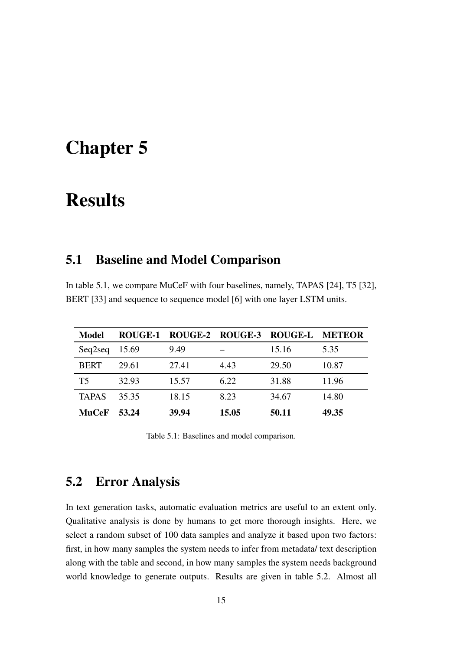## <span id="page-21-0"></span>Chapter 5

## Results

#### <span id="page-21-1"></span>5.1 Baseline and Model Comparison

In table [5.1,](#page-21-3) we compare MuCeF with four baselines, namely, TAPAS [\[24\]](#page-27-5), T5 [\[32\]](#page-28-4), BERT [\[33\]](#page-28-5) and sequence to sequence model [\[6\]](#page-25-6) with one layer LSTM units.

<span id="page-21-3"></span>

| <b>Model</b> | <b>ROUGE-1</b> |       |       | ROUGE-2 ROUGE-3 ROUGE-L | <b>METEOR</b> |
|--------------|----------------|-------|-------|-------------------------|---------------|
| Seq2seq      | 15.69          | 9.49  |       | 15.16                   | 5.35          |
| <b>BERT</b>  | 29.61          | 27.41 | 4.43  | 29.50                   | 10.87         |
| T5           | 32.93          | 15.57 | 6.22  | 31.88                   | 11.96         |
| <b>TAPAS</b> | 35.35          | 18.15 | 8.23  | 34.67                   | 14.80         |
| <b>MuCeF</b> | 53.24          | 39.94 | 15.05 | 50.11                   | 49.35         |

Table 5.1: Baselines and model comparison.

## <span id="page-21-2"></span>5.2 Error Analysis

In text generation tasks, automatic evaluation metrics are useful to an extent only. Qualitative analysis is done by humans to get more thorough insights. Here, we select a random subset of 100 data samples and analyze it based upon two factors: first, in how many samples the system needs to infer from metadata/ text description along with the table and second, in how many samples the system needs background world knowledge to generate outputs. Results are given in table [5.2.](#page-22-0) Almost all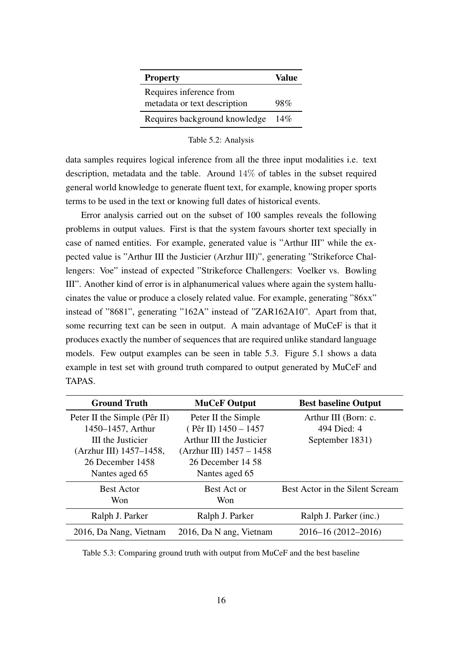<span id="page-22-0"></span>

| <b>Property</b>               | Value |
|-------------------------------|-------|
| Requires inference from       |       |
| metadata or text description  | 98%   |
| Requires background knowledge | 14%   |

Table 5.2: Analysis

data samples requires logical inference from all the three input modalities i.e. text description, metadata and the table. Around 14% of tables in the subset required general world knowledge to generate fluent text, for example, knowing proper sports terms to be used in the text or knowing full dates of historical events.

Error analysis carried out on the subset of 100 samples reveals the following problems in output values. First is that the system favours shorter text specially in case of named entities. For example, generated value is "Arthur III" while the expected value is "Arthur III the Justicier (Arzhur III)", generating "Strikeforce Challengers: Voe" instead of expected "Strikeforce Challengers: Voelker vs. Bowling III". Another kind of error is in alphanumerical values where again the system hallucinates the value or produce a closely related value. For example, generating "86xx" instead of "8681", generating "162A" instead of "ZAR162A10". Apart from that, some recurring text can be seen in output. A main advantage of MuCeF is that it produces exactly the number of sequences that are required unlike standard language models. Few output examples can be seen in table [5.3.](#page-22-1) Figure [5.1](#page-23-0) shows a data example in test set with ground truth compared to output generated by MuCeF and TAPAS.

<span id="page-22-1"></span>

| <b>Ground Truth</b>          | <b>MuCeF Output</b>        | <b>Best baseline Output</b>     |
|------------------------------|----------------------------|---------------------------------|
| Peter II the Simple (Pêr II) | Peter II the Simple        | Arthur III (Born: c.            |
| 1450–1457, Arthur            | $(Pêr II)$ 1450 - 1457     | 494 Died: 4                     |
| <b>III</b> the Justicier     | Arthur III the Justicier   | September 1831)                 |
| (Arzhur III) 1457-1458,      | (Arzhur III) $1457 - 1458$ |                                 |
| 26 December 1458             | 26 December 14 58          |                                 |
| Nantes aged 65               | Nantes aged 65             |                                 |
| <b>Best Actor</b>            | Best Act or                | Best Actor in the Silent Scream |
| Won                          | Won                        |                                 |
| Ralph J. Parker              | Ralph J. Parker            | Ralph J. Parker (inc.)          |
| 2016, Da Nang, Vietnam       | 2016, Da N ang, Vietnam    | 2016–16 (2012–2016)             |

Table 5.3: Comparing ground truth with output from MuCeF and the best baseline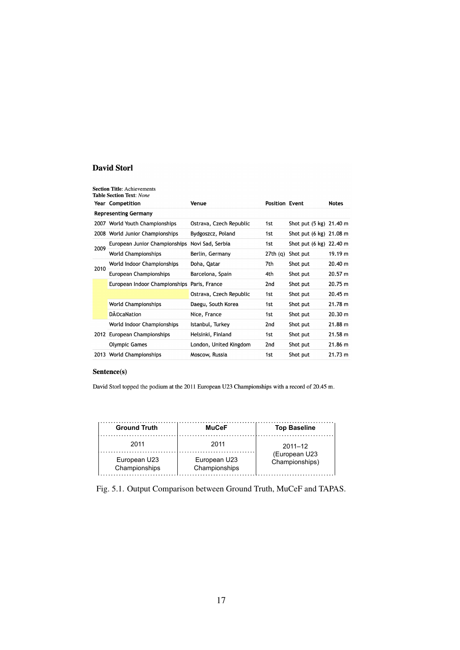#### <span id="page-23-0"></span>**David Storl**

|      | <b>Section Title:</b> Achievements<br><b>Table Section Text: None</b> |                         |                       |                         |              |
|------|-----------------------------------------------------------------------|-------------------------|-----------------------|-------------------------|--------------|
|      | <b>Year Competition</b>                                               | Venue                   | <b>Position Event</b> |                         | <b>Notes</b> |
|      | <b>Representing Germany</b>                                           |                         |                       |                         |              |
|      | 2007 World Youth Championships                                        | Ostrava, Czech Republic | 1st                   | Shot put (5 kg) 21.40 m |              |
|      | 2008 World Junior Championships                                       | Bydgoszcz, Poland       | 1st                   | Shot put (6 kg) 21.08 m |              |
| 2009 | European Junior Championships                                         | Novi Sad, Serbia        | 1st                   | Shot put (6 kg) 22.40 m |              |
|      | <b>World Championships</b>                                            | Berlin, Germany         | 27th(q)               | Shot put                | 19.19 m      |
| 2010 | World Indoor Championships                                            | Doha, Qatar             | 7th                   | Shot put                | 20.40 m      |
|      | European Championships                                                | Barcelona, Spain        | 4th                   | Shot put                | 20.57 m      |
|      | European Indoor Championships                                         | Paris, France           | 2nd                   | Shot put                | 20.75 m      |
|      |                                                                       | Ostrava, Czech Republic | 1st                   | Shot put                | 20.45 m      |
|      | <b>World Championships</b>                                            | Daegu, South Korea      | 1st                   | Shot put                | 21.78 m      |
|      | <b>DécaNation</b>                                                     | Nice, France            | 1st                   | Shot put                | 20.30 m      |
|      | World Indoor Championships                                            | Istanbul, Turkey        | 2nd                   | Shot put                | 21.88 m      |
|      | 2012 European Championships                                           | Helsinki, Finland       | 1st                   | Shot put                | 21.58 m      |
|      | <b>Olympic Games</b>                                                  | London, United Kingdom  | 2nd                   | Shot put                | 21.86 m      |
|      | 2013 World Championships                                              | Moscow, Russia          | 1st                   | Shot put                | 21.73 m      |

#### Sentence(s)

David Storl topped the podium at the 2011 European U23 Championships with a record of 20.45 m.

| <b>Ground Truth</b>           | <b>MuCeF</b>                  | <b>Top Baseline</b>             |
|-------------------------------|-------------------------------|---------------------------------|
| 2011                          | 2011                          | $2011 - 12$                     |
| European U23<br>Championships | European U23<br>Championships | (European U23<br>Championships) |

Fig. 5.1. Output Comparison between Ground Truth, MuCeF and TAPAS.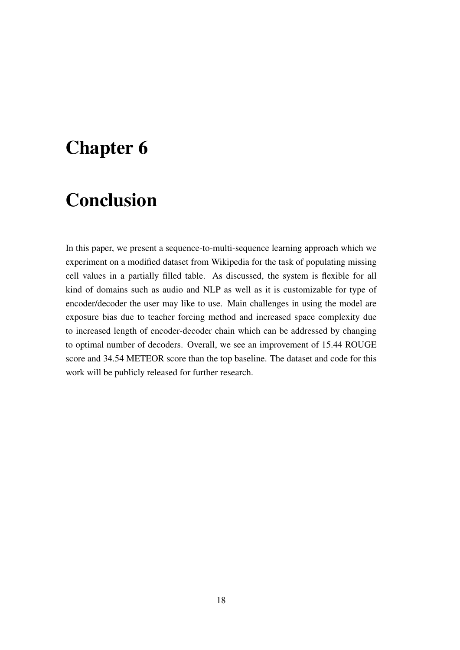## <span id="page-24-0"></span>Chapter 6

## Conclusion

In this paper, we present a sequence-to-multi-sequence learning approach which we experiment on a modified dataset from Wikipedia for the task of populating missing cell values in a partially filled table. As discussed, the system is flexible for all kind of domains such as audio and NLP as well as it is customizable for type of encoder/decoder the user may like to use. Main challenges in using the model are exposure bias due to teacher forcing method and increased space complexity due to increased length of encoder-decoder chain which can be addressed by changing to optimal number of decoders. Overall, we see an improvement of 15.44 ROUGE score and 34.54 METEOR score than the top baseline. The dataset and code for this work will be publicly released for further research.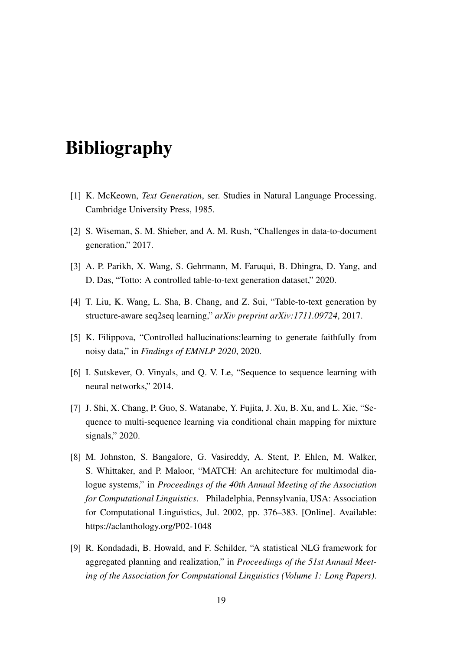## <span id="page-25-0"></span>Bibliography

- <span id="page-25-1"></span>[1] K. McKeown, *Text Generation*, ser. Studies in Natural Language Processing. Cambridge University Press, 1985.
- <span id="page-25-2"></span>[2] S. Wiseman, S. M. Shieber, and A. M. Rush, "Challenges in data-to-document generation," 2017.
- <span id="page-25-3"></span>[3] A. P. Parikh, X. Wang, S. Gehrmann, M. Faruqui, B. Dhingra, D. Yang, and D. Das, "Totto: A controlled table-to-text generation dataset," 2020.
- <span id="page-25-4"></span>[4] T. Liu, K. Wang, L. Sha, B. Chang, and Z. Sui, "Table-to-text generation by structure-aware seq2seq learning," *arXiv preprint arXiv:1711.09724*, 2017.
- <span id="page-25-5"></span>[5] K. Filippova, "Controlled hallucinations:learning to generate faithfully from noisy data," in *Findings of EMNLP 2020*, 2020.
- <span id="page-25-6"></span>[6] I. Sutskever, O. Vinyals, and Q. V. Le, "Sequence to sequence learning with neural networks," 2014.
- <span id="page-25-7"></span>[7] J. Shi, X. Chang, P. Guo, S. Watanabe, Y. Fujita, J. Xu, B. Xu, and L. Xie, "Sequence to multi-sequence learning via conditional chain mapping for mixture signals," 2020.
- <span id="page-25-8"></span>[8] M. Johnston, S. Bangalore, G. Vasireddy, A. Stent, P. Ehlen, M. Walker, S. Whittaker, and P. Maloor, "MATCH: An architecture for multimodal dialogue systems," in *Proceedings of the 40th Annual Meeting of the Association for Computational Linguistics*. Philadelphia, Pennsylvania, USA: Association for Computational Linguistics, Jul. 2002, pp. 376–383. [Online]. Available: <https://aclanthology.org/P02-1048>
- <span id="page-25-9"></span>[9] R. Kondadadi, B. Howald, and F. Schilder, "A statistical NLG framework for aggregated planning and realization," in *Proceedings of the 51st Annual Meeting of the Association for Computational Linguistics (Volume 1: Long Papers)*.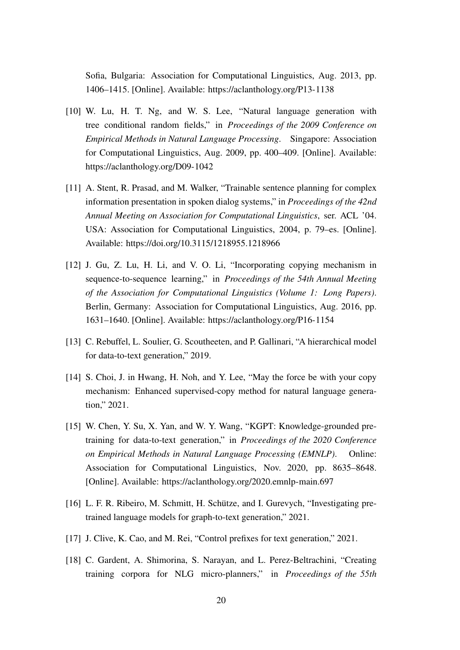Sofia, Bulgaria: Association for Computational Linguistics, Aug. 2013, pp. 1406–1415. [Online]. Available:<https://aclanthology.org/P13-1138>

- <span id="page-26-0"></span>[10] W. Lu, H. T. Ng, and W. S. Lee, "Natural language generation with tree conditional random fields," in *Proceedings of the 2009 Conference on Empirical Methods in Natural Language Processing*. Singapore: Association for Computational Linguistics, Aug. 2009, pp. 400–409. [Online]. Available: <https://aclanthology.org/D09-1042>
- <span id="page-26-1"></span>[11] A. Stent, R. Prasad, and M. Walker, "Trainable sentence planning for complex information presentation in spoken dialog systems," in *Proceedings of the 42nd Annual Meeting on Association for Computational Linguistics*, ser. ACL '04. USA: Association for Computational Linguistics, 2004, p. 79–es. [Online]. Available:<https://doi.org/10.3115/1218955.1218966>
- <span id="page-26-2"></span>[12] J. Gu, Z. Lu, H. Li, and V. O. Li, "Incorporating copying mechanism in sequence-to-sequence learning," in *Proceedings of the 54th Annual Meeting of the Association for Computational Linguistics (Volume 1: Long Papers)*. Berlin, Germany: Association for Computational Linguistics, Aug. 2016, pp. 1631–1640. [Online]. Available:<https://aclanthology.org/P16-1154>
- <span id="page-26-3"></span>[13] C. Rebuffel, L. Soulier, G. Scoutheeten, and P. Gallinari, "A hierarchical model for data-to-text generation," 2019.
- <span id="page-26-4"></span>[14] S. Choi, J. in Hwang, H. Noh, and Y. Lee, "May the force be with your copy mechanism: Enhanced supervised-copy method for natural language generation," 2021.
- <span id="page-26-5"></span>[15] W. Chen, Y. Su, X. Yan, and W. Y. Wang, "KGPT: Knowledge-grounded pretraining for data-to-text generation," in *Proceedings of the 2020 Conference on Empirical Methods in Natural Language Processing (EMNLP)*. Online: Association for Computational Linguistics, Nov. 2020, pp. 8635–8648. [Online]. Available:<https://aclanthology.org/2020.emnlp-main.697>
- <span id="page-26-6"></span>[16] L. F. R. Ribeiro, M. Schmitt, H. Schütze, and I. Gurevych, "Investigating pretrained language models for graph-to-text generation," 2021.
- <span id="page-26-7"></span>[17] J. Clive, K. Cao, and M. Rei, "Control prefixes for text generation," 2021.
- <span id="page-26-8"></span>[18] C. Gardent, A. Shimorina, S. Narayan, and L. Perez-Beltrachini, "Creating training corpora for NLG micro-planners," in *Proceedings of the 55th*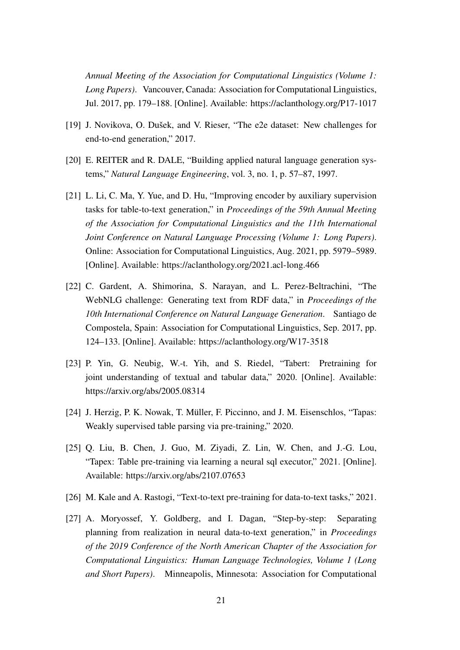*Annual Meeting of the Association for Computational Linguistics (Volume 1: Long Papers)*. Vancouver, Canada: Association for Computational Linguistics, Jul. 2017, pp. 179–188. [Online]. Available:<https://aclanthology.org/P17-1017>

- <span id="page-27-0"></span>[19] J. Novikova, O. Dušek, and V. Rieser, "The e2e dataset: New challenges for end-to-end generation," 2017.
- <span id="page-27-1"></span>[20] E. REITER and R. DALE, "Building applied natural language generation systems," *Natural Language Engineering*, vol. 3, no. 1, p. 57–87, 1997.
- <span id="page-27-2"></span>[21] L. Li, C. Ma, Y. Yue, and D. Hu, "Improving encoder by auxiliary supervision tasks for table-to-text generation," in *Proceedings of the 59th Annual Meeting of the Association for Computational Linguistics and the 11th International Joint Conference on Natural Language Processing (Volume 1: Long Papers)*. Online: Association for Computational Linguistics, Aug. 2021, pp. 5979–5989. [Online]. Available:<https://aclanthology.org/2021.acl-long.466>
- <span id="page-27-3"></span>[22] C. Gardent, A. Shimorina, S. Narayan, and L. Perez-Beltrachini, "The WebNLG challenge: Generating text from RDF data," in *Proceedings of the 10th International Conference on Natural Language Generation*. Santiago de Compostela, Spain: Association for Computational Linguistics, Sep. 2017, pp. 124–133. [Online]. Available:<https://aclanthology.org/W17-3518>
- <span id="page-27-4"></span>[23] P. Yin, G. Neubig, W.-t. Yih, and S. Riedel, "Tabert: Pretraining for joint understanding of textual and tabular data," 2020. [Online]. Available: <https://arxiv.org/abs/2005.08314>
- <span id="page-27-5"></span>[24] J. Herzig, P. K. Nowak, T. Müller, F. Piccinno, and J. M. Eisenschlos, "Tapas: Weakly supervised table parsing via pre-training," 2020.
- <span id="page-27-6"></span>[25] Q. Liu, B. Chen, J. Guo, M. Ziyadi, Z. Lin, W. Chen, and J.-G. Lou, "Tapex: Table pre-training via learning a neural sql executor," 2021. [Online]. Available:<https://arxiv.org/abs/2107.07653>
- <span id="page-27-7"></span>[26] M. Kale and A. Rastogi, "Text-to-text pre-training for data-to-text tasks," 2021.
- <span id="page-27-8"></span>[27] A. Moryossef, Y. Goldberg, and I. Dagan, "Step-by-step: Separating planning from realization in neural data-to-text generation," in *Proceedings of the 2019 Conference of the North American Chapter of the Association for Computational Linguistics: Human Language Technologies, Volume 1 (Long and Short Papers)*. Minneapolis, Minnesota: Association for Computational